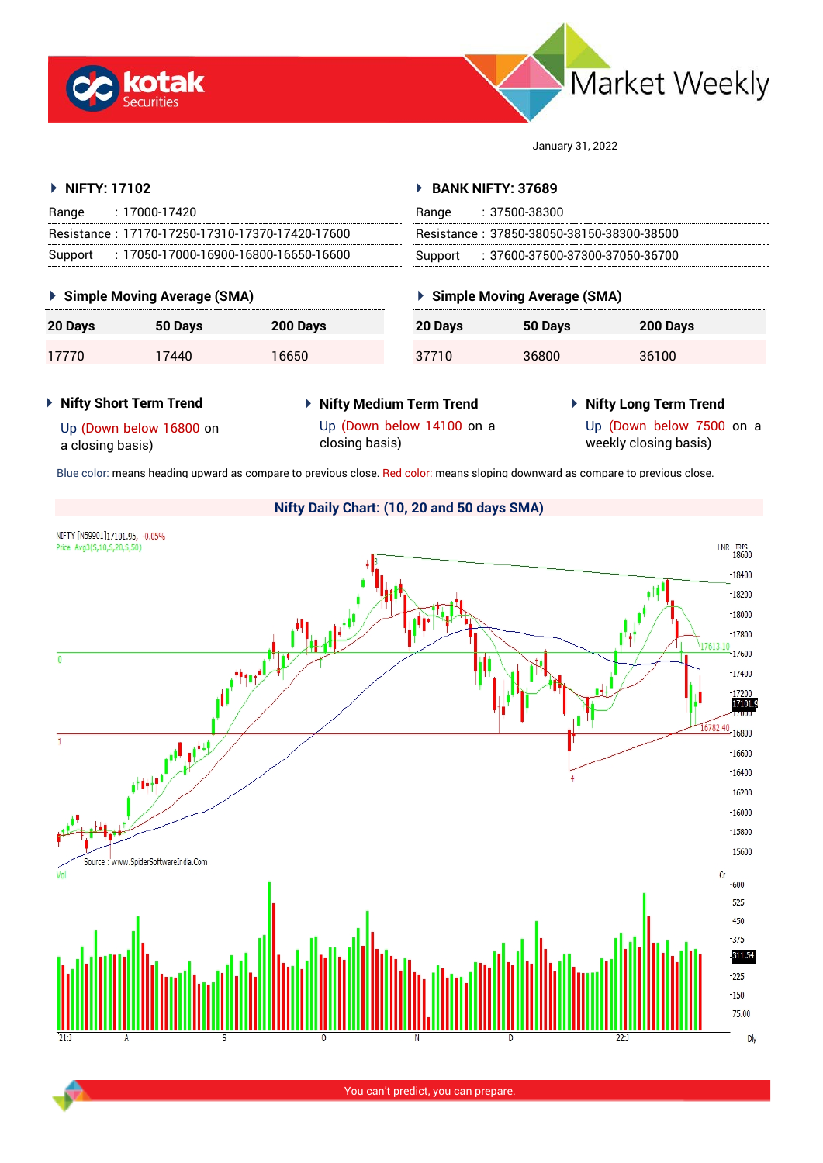



January 31, 2022

**Simple Moving Average (SMA)**

### **NIFTY: 17102** Range : 17000-17420 Resistance : 17170-17250-17310-17370-17420-17600 Support : 17050-17000-16900-16800-16650-16600 **BANK NIFTY: 37689** Range : 37500-38300 Resistance : 37850-38050-38150-38300-38500 Support : 37600-37500-37300-37050-36700

## **Simple Moving Average (SMA)**

| <b>20 Days</b> | 50 Days | <b>200 Days</b> | 20 Davs | 50 Days | <b>200 Days</b> |
|----------------|---------|-----------------|---------|---------|-----------------|
|                | '440    | 6650            | ТU      | 36800   | 36100           |

## **Nifty Short Term Trend**

**Nifty Medium Term Trend**

# **Nifty Long Term Trend**

Up (Down below 16800 on a closing basis)

Up (Down below 14100 on a closing basis)

Up (Down below 7500 on a weekly closing basis)

Blue color: means heading upward as compare to previous close. Red color: means sloping downward as compare to previous close.

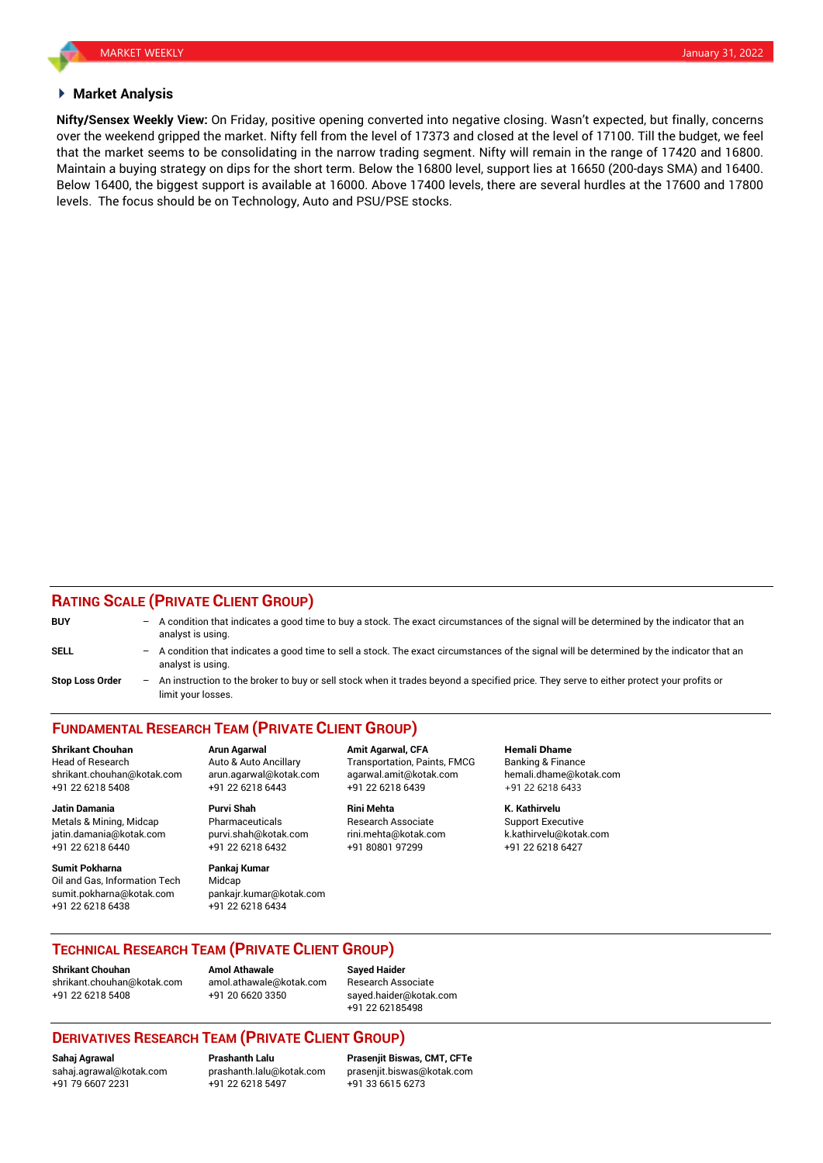## **Market Analysis**

**Nifty/Sensex Weekly View:** On Friday, positive opening converted into negative closing. Wasn't expected, but finally, concerns over the weekend gripped the market. Nifty fell from the level of 17373 and closed at the level of 17100. Till the budget, we feel that the market seems to be consolidating in the narrow trading segment. Nifty will remain in the range of 17420 and 16800. Maintain a buying strategy on dips for the short term. Below the 16800 level, support lies at 16650 (200-days SMA) and 16400. Below 16400, the biggest support is available at 16000. Above 17400 levels, there are several hurdles at the 17600 and 17800 levels. The focus should be on Technology, Auto and PSU/PSE stocks.

## **RATING SCALE (PRIVATE CLIENT GROUP)**

| <b>BUY</b>             |     | $-$ A condition that indicates a good time to buy a stock. The exact circumstances of the signal will be determined by the indicator that an<br>analyst is using. |
|------------------------|-----|-------------------------------------------------------------------------------------------------------------------------------------------------------------------|
| <b>SELL</b>            |     | - A condition that indicates a good time to sell a stock. The exact circumstances of the signal will be determined by the indicator that an<br>analyst is using.  |
| <b>Stop Loss Order</b> | $-$ | An instruction to the broker to buy or sell stock when it trades bevond a specified price. They serve to either protect your profits or                           |

**Stop Loss Order** – An instruction to the broker to buy or sell stock when it trades beyond a specified price. They serve to either protect your profits or limit your losses.

# **FUNDAMENTAL RESEARCH TEAM (PRIVATE CLIENT GROUP)**

Head of Research **Auto & Auto Ancillary** Transportation, Paints, FMCG Banking & Finance shrikant.chouhan@kotak.com arun.agarwal@kotak.com [agarwal.amit@kotak.com](mailto:agarwal.amit@kotak.com) hemali.dhame@kotak.com +91 22 6218 5408 +91 22 6218 6443 +91 22 6218 6439 +91 22 6218 6433

Metals & Mining, Midcap **Pharmaceuticals** Research Associate Support Executive jatin.damania@kotak.com [purvi.shah@kotak.com](mailto:purvi.shah@kotak.com) rini.mehta@kotak.com [k.kathirvelu@kotak.com](mailto:k.kathirvelu@kotak.com) +91 22 6218 6440 +91 22 6218 6432 +91 80801 97299 +91 22 6218 6427

**Sumit Pokharna** Pankaj Kumar Oil and Gas, Information Tech Midcap sumit.pokharna@kotak.com pankajr.kumar@kotak.com +91 22 6218 6438 +91 22 6218 6434

**Jatin Damania Purvi Shah Rini Mehta K. Kathirvelu**

**Shrikant Chouhan Arun Agarwal Amit Agarwal, CFA Hemali Dhame**

## **TECHNICAL RESEARCH TEAM (PRIVATE CLIENT GROUP)**

**Shrikant Chouhan Amol Athawale Sayed Haider** [shrikant.chouhan@kotak.com](mailto:shrikant.chouhan@kotak.com) [amol.athawale@kotak.com](mailto:amol.athawale@kotak.com) Research Associate +91 22 6218 5408 +91 20 6620 3350 [sayed.haider@kotak.com](mailto:sayed.haider@kotak.com)

+91 22 62185498

## **DERIVATIVES RESEARCH TEAM (PRIVATE CLIENT GROUP)**

+91 79 6607 2231 +91 22 6218 5497 +91 33 6615 6273

**Sahaj Agrawal Prashanth Lalu Prasenjit Biswas, CMT, CFTe** [sahaj.agrawal@kotak.com](mailto:sahaj.agrawal@kotak.com) [prashanth.lalu@kotak.com](mailto:prashanth.lalu@kotak.com) [prasenjit.biswas@kotak.com](mailto:prasenjit.biswas@kotak.com)